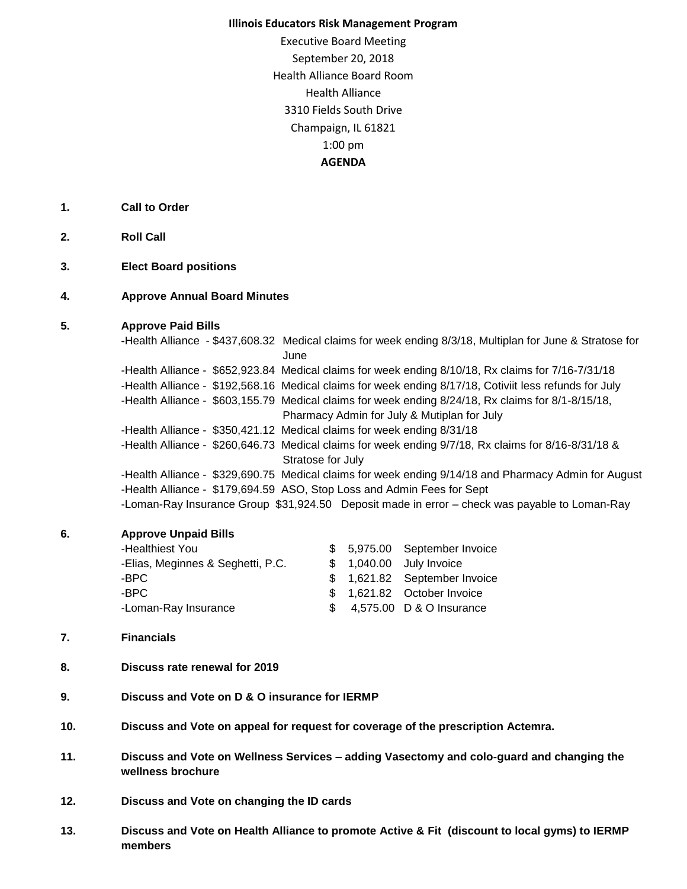## **Illinois Educators Risk Management Program**

Executive Board Meeting September 20, 2018 Health Alliance Board Room Health Alliance 3310 Fields South Drive Champaign, IL 61821 1:00 pm **AGENDA**

- **1. Call to Order**
- **2. Roll Call**
- **3. Elect Board positions**
- **4. Approve Annual Board Minutes**

## **5. Approve Paid Bills**

**-**Health Alliance - \$437,608.32 Medical claims for week ending 8/3/18, Multiplan for June & Stratose for June -Health Alliance - \$652,923.84 Medical claims for week ending 8/10/18, Rx claims for 7/16-7/31/18 -Health Alliance - \$192,568.16 Medical claims for week ending 8/17/18, Cotiviit less refunds for July -Health Alliance - \$603,155.79 Medical claims for week ending 8/24/18, Rx claims for 8/1-8/15/18, Pharmacy Admin for July & Mutiplan for July -Health Alliance - \$350,421.12 Medical claims for week ending 8/31/18 -Health Alliance - \$260,646.73 Medical claims for week ending 9/7/18, Rx claims for 8/16-8/31/18 & Stratose for July -Health Alliance - \$329,690.75 Medical claims for week ending 9/14/18 and Pharmacy Admin for August -Health Alliance - \$179,694.59 ASO, Stop Loss and Admin Fees for Sept -Loman-Ray Insurance Group \$31,924.50 Deposit made in error – check was payable to Loman-Ray

## **6. Approve Unpaid Bills**

| -Healthiest You                   |  | \$ 5,975.00 September Invoice |
|-----------------------------------|--|-------------------------------|
| -Elias, Meginnes & Seghetti, P.C. |  | \$ 1,040.00 July Invoice      |
| -BPC.                             |  | \$ 1,621.82 September Invoice |
| -BPC                              |  | \$ 1.621.82 October Invoice   |
| -Loman-Ray Insurance              |  | \$ 4,575.00 D & O Insurance   |

## **7. Financials**

- **8. Discuss rate renewal for 2019**
- **9. Discuss and Vote on D & O insurance for IERMP**
- **10. Discuss and Vote on appeal for request for coverage of the prescription Actemra.**
- **11. Discuss and Vote on Wellness Services – adding Vasectomy and colo-guard and changing the wellness brochure**
- **12. Discuss and Vote on changing the ID cards**
- **13. Discuss and Vote on Health Alliance to promote Active & Fit (discount to local gyms) to IERMP members**